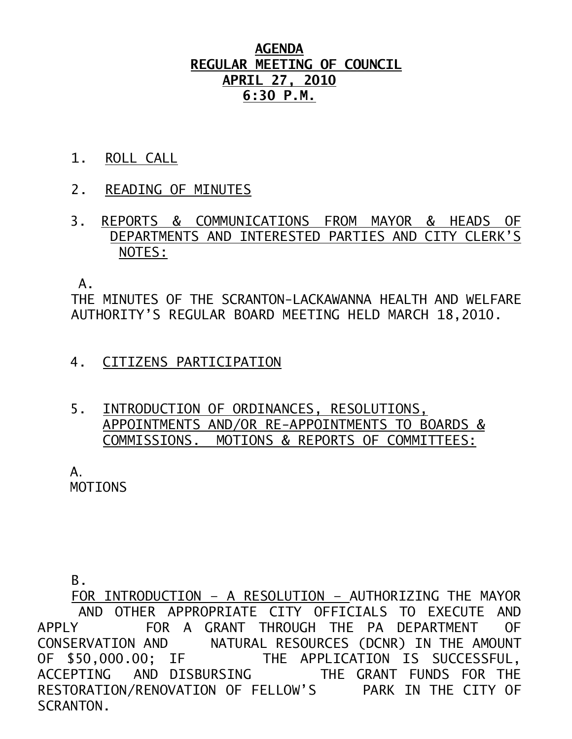## **AGENDA REGULAR MEETING OF COUNCIL APRIL 27, 2010 6:30 P.M.**

- 1. ROLL CALL
- 2. READING OF MINUTES
- 3. REPORTS & COMMUNICATIONS FROM MAYOR & HEADS OF DEPARTMENTS AND INTERESTED PARTIES AND CITY CLERK'S NOTES:

 $\mathsf{A}$ .

THE MINUTES OF THE SCRANTON-LACKAWANNA HEALTH AND WELFARE AUTHORITY'S REGULAR BOARD MEETING HELD MARCH 18,2010.

- 4. CITIZENS PARTICIPATION
- 5. INTRODUCTION OF ORDINANCES, RESOLUTIONS, APPOINTMENTS AND/OR RE-APPOINTMENTS TO BOARDS & COMMISSIONS. MOTIONS & REPORTS OF COMMITTEES:

 $A_{\cdot}$ **MOTTONS** 

B.

 FOR INTRODUCTION – A RESOLUTION – AUTHORIZING THE MAYOR AND OTHER APPROPRIATE CITY OFFICIALS TO EXECUTE AND APPLY FOR A GRANT THROUGH THE PA DEPARTMENT OF CONSERVATION AND NATURAL RESOURCES (DCNR) IN THE AMOUNT OF \$50,000.00; IF THE APPLICATION IS SUCCESSFUL, ACCEPTING AND DISBURSING THE GRANT FUNDS FOR THE RESTORATION/RENOVATION OF FELLOW'S PARK IN THE CITY OF SCRANTON.